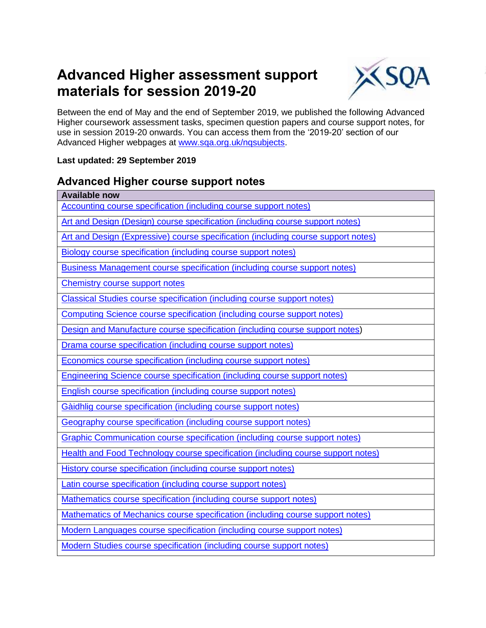### **Advanced Higher assessment support materials for session 2019-20**



Between the end of May and the end of September 2019, we published the following Advanced Higher coursework assessment tasks, specimen question papers and course support notes, for use in session 2019-20 onwards. You can access them from the '2019-20' section of our Advanced Higher webpages at [www.sqa.org.uk/nqsubjects.](http://www.sqa.org.uk/nqsubjects)

#### **Last updated: 29 September 2019**

### **Advanced Higher course support notes**

| <b>Available now</b>                                                               |
|------------------------------------------------------------------------------------|
| <b>Accounting course specification (including course support notes)</b>            |
| Art and Design (Design) course specification (including course support notes)      |
| Art and Design (Expressive) course specification (including course support notes)  |
| <b>Biology course specification (including course support notes)</b>               |
| <b>Business Management course specification (including course support notes)</b>   |
| <b>Chemistry course support notes</b>                                              |
| <b>Classical Studies course specification (including course support notes)</b>     |
| <b>Computing Science course specification (including course support notes)</b>     |
| Design and Manufacture course specification (including course support notes)       |
| Drama course specification (including course support notes)                        |
| Economics course specification (including course support notes)                    |
| <b>Engineering Science course specification (including course support notes)</b>   |
| <b>English course specification (including course support notes)</b>               |
| Gàidhlig course specification (including course support notes)                     |
| Geography course specification (including course support notes)                    |
| <b>Graphic Communication course specification (including course support notes)</b> |
| Health and Food Technology course specification (including course support notes)   |
| <b>History course specification (including course support notes)</b>               |
| Latin course specification (including course support notes)                        |
| Mathematics course specification (including course support notes)                  |
| Mathematics of Mechanics course specification (including course support notes)     |
| Modern Languages course specification (including course support notes)             |
| <b>Modern Studies course specification (including course support notes)</b>        |
|                                                                                    |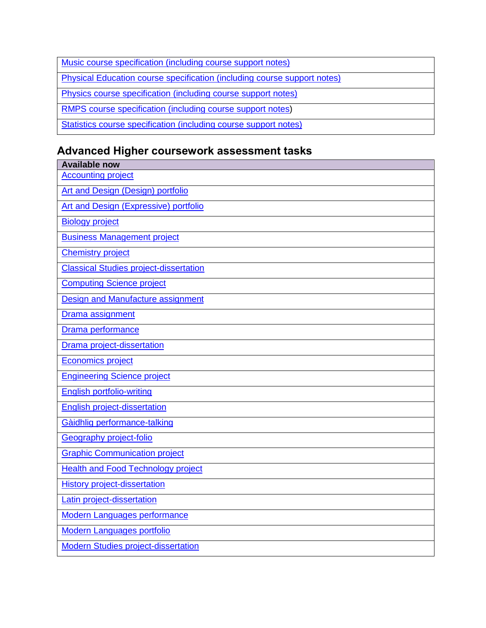| Music course specification (including course support notes)                     |
|---------------------------------------------------------------------------------|
| <b>Physical Education course specification (including course support notes)</b> |
| <b>Physics course specification (including course support notes)</b>            |
| RMPS course specification (including course support notes)                      |
| Statistics course specification (including course support notes)                |

## **Advanced Higher coursework assessment tasks**

| <b>Available now</b>                          |
|-----------------------------------------------|
| <b>Accounting project</b>                     |
| <b>Art and Design (Design) portfolio</b>      |
| Art and Design (Expressive) portfolio         |
| <b>Biology project</b>                        |
| <b>Business Management project</b>            |
| <b>Chemistry project</b>                      |
| <b>Classical Studies project-dissertation</b> |
| <b>Computing Science project</b>              |
| Design and Manufacture assignment             |
| Drama assignment                              |
| Drama performance                             |
| <b>Drama project-dissertation</b>             |
| <b>Economics project</b>                      |
| <b>Engineering Science project</b>            |
| <b>English portfolio-writing</b>              |
| <b>English project-dissertation</b>           |
| Gàidhlig performance-talking                  |
| Geography project-folio                       |
| <b>Graphic Communication project</b>          |
| <b>Health and Food Technology project</b>     |
| <b>History project-dissertation</b>           |
| Latin project-dissertation                    |
| <b>Modern Languages performance</b>           |
| <b>Modern Languages portfolio</b>             |
| <b>Modern Studies project-dissertation</b>    |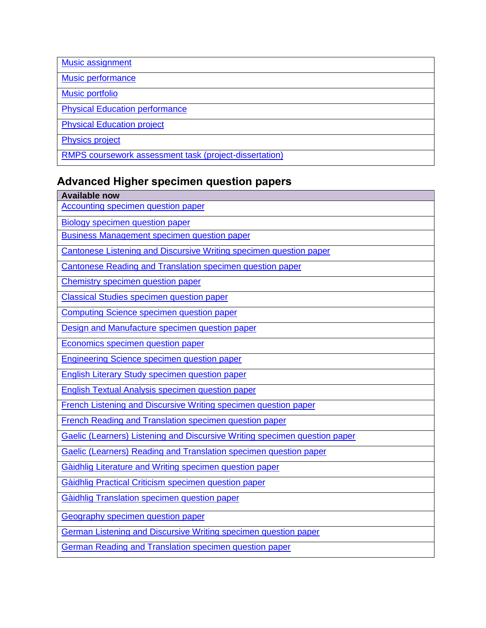| Music assignment                                       |
|--------------------------------------------------------|
| Music performance                                      |
| <b>Music portfolio</b>                                 |
| <b>Physical Education performance</b>                  |
| <b>Physical Education project</b>                      |
| <b>Physics project</b>                                 |
| RMPS coursework assessment task (project-dissertation) |

# **Advanced Higher specimen question papers**

| <b>Available now</b>                                                       |
|----------------------------------------------------------------------------|
| <b>Accounting specimen question paper</b>                                  |
| <b>Biology specimen question paper</b>                                     |
| <b>Business Management specimen question paper</b>                         |
| Cantonese Listening and Discursive Writing specimen question paper         |
| Cantonese Reading and Translation specimen question paper                  |
| <b>Chemistry specimen question paper</b>                                   |
| <b>Classical Studies specimen question paper</b>                           |
| <b>Computing Science specimen question paper</b>                           |
| Design and Manufacture specimen question paper                             |
| <b>Economics specimen question paper</b>                                   |
| <b>Engineering Science specimen question paper</b>                         |
| <b>English Literary Study specimen question paper</b>                      |
| <b>English Textual Analysis specimen question paper</b>                    |
| French Listening and Discursive Writing specimen question paper            |
| <b>French Reading and Translation specimen question paper</b>              |
| Gaelic (Learners) Listening and Discursive Writing specimen question paper |
| Gaelic (Learners) Reading and Translation specimen question paper          |
| Gàidhlig Literature and Writing specimen question paper                    |
| Gàidhlig Practical Criticism specimen question paper                       |
| Gàidhlig Translation specimen question paper                               |
| <b>Geography specimen question paper</b>                                   |
| German Listening and Discursive Writing specimen question paper            |
| German Reading and Translation specimen question paper                     |
|                                                                            |